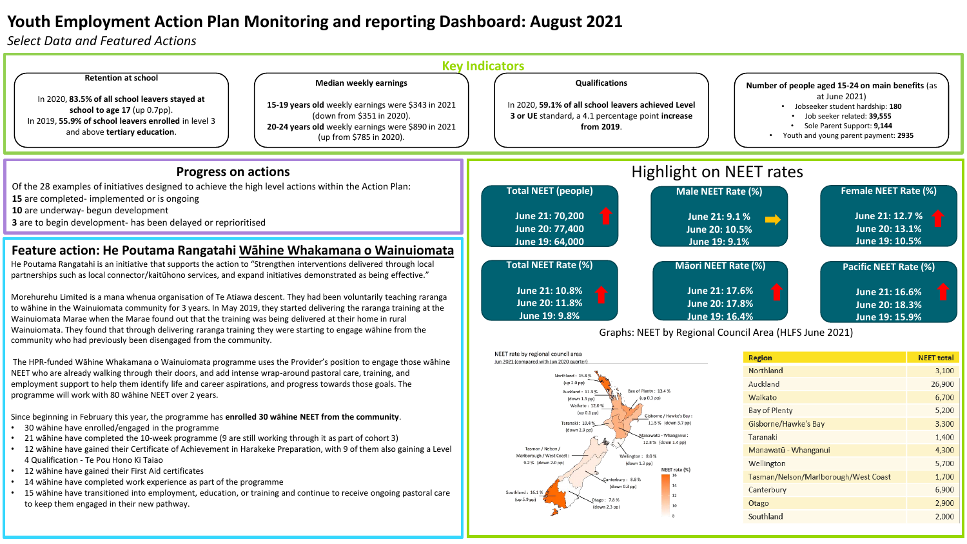## **Youth Employment Action Plan Monitoring and reporting Dashboard: August 2021**

*Select Data and Featured Actions*



Southland: 16.1%

 $($ up 5.9 pp

14

<sup>12</sup>

10

Canterbury

Southland

Otago

6,900

2,900

2,000

 $d<sub>own</sub> 0.3$  nn)

7.8%

(down 2.3 pp)

- 14 wāhine have completed work experience as part of the programme
- 15 wāhine have transitioned into employment, education, or training and continue to receive ongoing pastoral care to keep them engaged in their new pathway.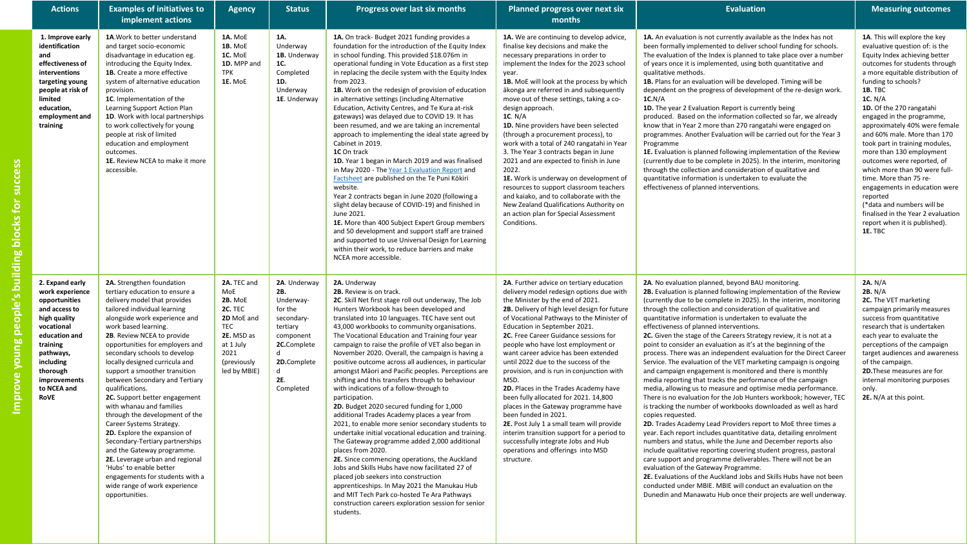| <b>Actions</b>                                                                                                                                                                                                      | <b>Examples of initiatives to</b><br>implement actions                                                                                                                                                                                                                                                                                                                                                                                                                                                                                                                                                                                                                                                                                                                                        | <b>Agency</b>                                                                                                                                        | <b>Status</b>                                                                                                                                                    | Progress over last six months                                                                                                                                                                                                                                                                                                                                                                                                                                                                                                                                                                                                                                                                                                                                                                                                                                                                                                                                                                                                                                                                                                                                                                                                           | Planned progress over next six<br>months                                                                                                                                                                                                                                                                                                                                                                                                                                                                                                                                                                                                                                                                                                                                                                         | <b>Evaluation</b>                                                                                                                                                                                                                                                                                                                                                                                                                                                                                                                                                                                                                                                                                                                                                                                                                                                                                                                                                                                                                                                                                                                                                                                                                                                                                                                                                                                                                                                                                                                                                                                        | <b>Measuring outcomes</b>                                                                                                                                                                                                                                                                                                                                                                                                                                                                                                                                                                                                                                       |
|---------------------------------------------------------------------------------------------------------------------------------------------------------------------------------------------------------------------|-----------------------------------------------------------------------------------------------------------------------------------------------------------------------------------------------------------------------------------------------------------------------------------------------------------------------------------------------------------------------------------------------------------------------------------------------------------------------------------------------------------------------------------------------------------------------------------------------------------------------------------------------------------------------------------------------------------------------------------------------------------------------------------------------|------------------------------------------------------------------------------------------------------------------------------------------------------|------------------------------------------------------------------------------------------------------------------------------------------------------------------|-----------------------------------------------------------------------------------------------------------------------------------------------------------------------------------------------------------------------------------------------------------------------------------------------------------------------------------------------------------------------------------------------------------------------------------------------------------------------------------------------------------------------------------------------------------------------------------------------------------------------------------------------------------------------------------------------------------------------------------------------------------------------------------------------------------------------------------------------------------------------------------------------------------------------------------------------------------------------------------------------------------------------------------------------------------------------------------------------------------------------------------------------------------------------------------------------------------------------------------------|------------------------------------------------------------------------------------------------------------------------------------------------------------------------------------------------------------------------------------------------------------------------------------------------------------------------------------------------------------------------------------------------------------------------------------------------------------------------------------------------------------------------------------------------------------------------------------------------------------------------------------------------------------------------------------------------------------------------------------------------------------------------------------------------------------------|----------------------------------------------------------------------------------------------------------------------------------------------------------------------------------------------------------------------------------------------------------------------------------------------------------------------------------------------------------------------------------------------------------------------------------------------------------------------------------------------------------------------------------------------------------------------------------------------------------------------------------------------------------------------------------------------------------------------------------------------------------------------------------------------------------------------------------------------------------------------------------------------------------------------------------------------------------------------------------------------------------------------------------------------------------------------------------------------------------------------------------------------------------------------------------------------------------------------------------------------------------------------------------------------------------------------------------------------------------------------------------------------------------------------------------------------------------------------------------------------------------------------------------------------------------------------------------------------------------|-----------------------------------------------------------------------------------------------------------------------------------------------------------------------------------------------------------------------------------------------------------------------------------------------------------------------------------------------------------------------------------------------------------------------------------------------------------------------------------------------------------------------------------------------------------------------------------------------------------------------------------------------------------------|
| 1. Improve early<br>identification<br>and<br>effectiveness of<br>interventions<br>targeting young<br>people at risk of<br>limited<br>education,<br>employment and<br>training                                       | 1A. Work to better understand<br>and target socio-economic<br>disadvantage in education eg.<br>introducing the Equity Index.<br>1B. Create a more effective<br>system of alternative education<br>provision.<br>1C. Implementation of the<br>Learning Support Action Plan<br>1D. Work with local partnerships<br>to work collectively for young<br>people at risk of limited<br>education and employment<br>outcomes.<br>1E. Review NCEA to make it more<br>accessible.                                                                                                                                                                                                                                                                                                                       | 1A. MoE<br>1B. MoE<br>1C. MoE<br>1D. MPP and<br><b>TPK</b><br>1E. MoE                                                                                | 1A.<br>Underway<br>1B. Underway<br>1C.<br>Completed<br>1D.<br>Underway<br>1E. Underway                                                                           | 1A. On track- Budget 2021 funding provides a<br>foundation for the introduction of the Equity Index<br>in school funding. This provided \$18.076m in<br>operational funding in Vote Education as a first step<br>in replacing the decile system with the Equity Index<br>from 2023.<br>1B. Work on the redesign of provision of education<br>in alternative settings (including Alternative<br>Education, Activity Centres, and Te Kura at-risk<br>gateways) was delayed due to COVID 19. It has<br>been resumed, and we are taking an incremental<br>approach to implementing the ideal state agreed by<br>Cabinet in 2019.<br>1C On track<br>1D. Year 1 began in March 2019 and was finalised<br>in May 2020 - The Year 1 Evaluation Report and<br>Factsheet are published on the Te Puni Kōkiri<br>website.<br>Year 2 contracts began in June 2020 (following a<br>slight delay because of COVID-19) and finished in<br>June 2021.<br>1E. More than 400 Subject Expert Group members<br>and 50 development and support staff are trained<br>and supported to use Universal Design for Learning<br>within their work, to reduce barriers and make<br>NCEA more accessible.                                                            | 1A. We are continuing to develop advice,<br>finalise key decisions and make the<br>necessary preparations in order to<br>implement the Index for the 2023 school<br>year.<br>1B. MoE will look at the process by which<br>ākonga are referred in and subsequently<br>move out of these settings, taking a co-<br>design approach.<br>1C. N/A<br>1D. Nine providers have been selected<br>(through a procurement process), to<br>work with a total of 240 rangatahi in Year<br>3. The Year 3 contracts began in June<br>2021 and are expected to finish in June<br>2022.<br>1E. Work is underway on development of<br>resources to support classroom teachers<br>and kaiako, and to collaborate with the<br>New Zealand Qualifications Authority on<br>an action plan for Special Assessment<br>Conditions.       | 1A. An evaluation is not currently available as the Index has not<br>been formally implemented to deliver school funding for schools.<br>The evaluation of the Index is planned to take place over a number<br>of years once it is implemented, using both quantitative and<br>qualitative methods.<br>1B. Plans for an evaluation will be developed. Timing will be<br>dependent on the progress of development of the re-design work.<br>1C.N/A<br>1D. The year 2 Evaluation Report is currently being<br>produced. Based on the information collected so far, we already<br>know that in Year 2 more than 270 rangatahi were engaged on<br>programmes. Another Evaluation will be carried out for the Year 3<br>Programme<br>1E. Evaluation is planned following implementation of the Review<br>(currently due to be complete in 2025). In the interim, monitoring<br>through the collection and consideration of qualitative and<br>quantitative information is undertaken to evaluate the<br>effectiveness of planned interventions.                                                                                                                                                                                                                                                                                                                                                                                                                                                                                                                                                               | 1A. This will explore the key<br>evaluative question of: is the<br>Equity Index achieving better<br>outcomes for students through<br>a more equitable distribution of<br>funding to schools?<br>1B. TBC<br>1C. N/A<br>1D. Of the 270 rangatahi<br>engaged in the programme,<br>approximately 40% were female<br>and 60% male. More than 170<br>took part in training modules,<br>more than 130 employment<br>outcomes were reported, of<br>which more than 90 were full-<br>time. More than 75 re-<br>engagements in education were<br>reported<br>(*data and numbers will be<br>finalised in the Year 2 evaluation<br>report when it is published).<br>1E. TBC |
| 2. Expand early<br>work experience<br>opportunities<br>and access to<br>high quality<br>vocational<br>education and<br>training<br>pathways,<br>including<br>thorough<br>improvements<br>to NCEA and<br><b>RoVE</b> | 2A. Strengthen foundation<br>tertiary education to ensure a<br>delivery model that provides<br>tailored individual learning<br>alongside work experience and<br>work based learning.<br>2B. Review NCEA to provide<br>opportunities for employers and<br>secondary schools to develop<br>locally designed curricula and<br>support a smoother transition<br>between Secondary and Tertiary<br>qualifications.<br>2C. Support better engagement<br>with whanau and families<br>through the development of the<br>Career Systems Strategy.<br>2D. Explore the expansion of<br>Secondary-Tertiary partnerships<br>and the Gateway programme.<br>2E. Leverage urban and regional<br>'Hubs' to enable better<br>engagements for students with a<br>wide range of work experience<br>opportunities. | 2A. TEC and<br>MoE<br><b>2B. MoE</b><br><b>2C. TEC</b><br>2D MoE and<br><b>TEC</b><br>2E. MSD as<br>at 1 July<br>2021<br>(previously<br>led by MBIE) | 2A. Underway<br>2B.<br>Underway-<br>for the<br>secondary-<br>tertiary<br>component<br>2C.Complete<br><b>d</b><br>2D.Complete<br>$\mathsf{r}$<br>2E.<br>Completed | 2A. Underway<br>2B. Review is on track.<br>2C. Skill Net first stage roll out underway, The Job<br>Hunters Workbook has been developed and<br>translated into 10 languages. TEC have sent out<br>43,000 workbooks to community organisations.<br>The Vocational Education and Training four year<br>campaign to raise the profile of VET also began in<br>November 2020. Overall, the campaign is having a<br>positive outcome across all audiences, in particular<br>amongst Māori and Pacific peoples. Perceptions are<br>shifting and this transfers through to behaviour<br>with indications of a follow-through to<br>participation.<br>2D. Budget 2020 secured funding for 1,000<br>additional Trades Academy places a year from<br>2021, to enable more senior secondary students to<br>undertake initial vocational education and training.<br>The Gateway programme added 2,000 additional<br>places from 2020.<br>2E. Since commencing operations, the Auckland<br>Jobs and Skills Hubs have now facilitated 27 of<br>placed job seekers into construction<br>apprenticeships. In May 2021 the Manukau Hub<br>and MIT Tech Park co-hosted Te Ara Pathways<br>construction careers exploration session for senior<br>students. | 2A. Further advice on tertiary education<br>delivery model redesign options due with<br>the Minister by the end of 2021.<br>2B. Delivery of high level design for future<br>of Vocational Pathways to the Minister of<br>Education in September 2021.<br>2C. Free Career Guidance sessions for<br>people who have lost employment or<br>want career advice has been extended<br>until 2022 due to the success of the<br>provision, and is run in conjunction with<br>MSD.<br>2D. Places in the Trades Academy have<br>been fully allocated for 2021. 14,800<br>places in the Gateway programme have<br>been funded in 2021.<br>2E. Post July 1 a small team will provide<br>interim transition support for a period to<br>successfully integrate Jobs and Hub<br>operations and offerings into MSD<br>structure. | 2A. No evaluation planned, beyond BAU monitoring.<br>2B. Evaluation is planned following implementation of the Review<br>(currently due to be complete in 2025). In the interim, monitoring<br>through the collection and consideration of qualitative and<br>quantitative information is undertaken to evaluate the<br>effectiveness of planned interventions.<br>2C. Given the stage of the Careers Strategy review, it is not at a<br>point to consider an evaluation as it's at the beginning of the<br>process. There was an independent evaluation for the Direct Career<br>Service. The evaluation of the VET marketing campaign is ongoing<br>and campaign engagement is monitored and there is monthly<br>media reporting that tracks the performance of the campaign<br>media, allowing us to measure and optimise media performance.<br>There is no evaluation for the Job Hunters workbook; however, TEC<br>is tracking the number of workbooks downloaded as well as hard<br>copies requested.<br>2D. Trades Academy Lead Providers report to MoE three times a<br>year. Each report includes quantitative data, detailing enrolment<br>numbers and status, while the June and December reports also<br>include qualitative reporting covering student progress, pastoral<br>care support and programme deliverables. There will not be an<br>evaluation of the Gateway Programme.<br>2E. Evaluations of the Auckland Jobs and Skills Hubs have not been<br>conducted under MBIE. MBIE will conduct an evaluation on the<br>Dunedin and Manawatu Hub once their projects are well underway. | 2A. N/A<br>2B. N/A<br>2C. The VET marketing<br>campaign primarily measures<br>success from quantitative<br>research that is undertaken<br>each year to evaluate the<br>perceptions of the campaign<br>target audiences and awareness<br>of the campaign.<br>2D. These measures are for<br>internal monitoring purposes<br>only.<br>2E. N/A at this point.                                                                                                                                                                                                                                                                                                       |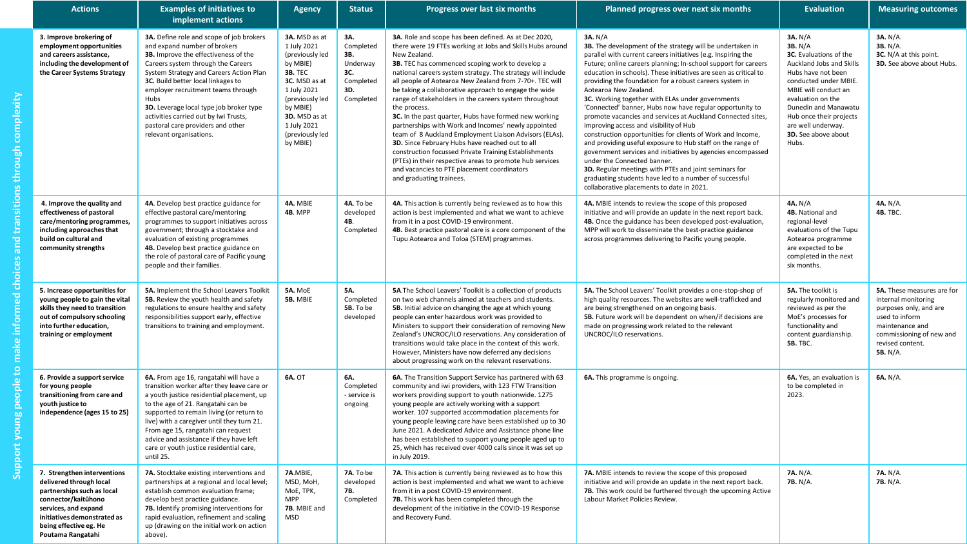| <b>Actions</b>                                                                                                                                                                                                    | <b>Examples of initiatives to</b><br>implement actions                                                                                                                                                                                                                                                                                                                                                                                    | <b>Agency</b>                                                                                                                                                                                               | <b>Status</b>                                                               | Progress over last six months                                                                                                                                                                                                                                                                                                                                                                                                                                                                                                                                                                                                                                                                                                                                                                                                                                                  | Planned progress over next six months                                                                                                                                                                                                                                                                                                                                                                                                                                                                                                                                                                                                                                                                                                                                                                                                                                                                                                                                              | <b>Evaluation</b>                                                                                                                                                                                                                                                                           | <b>Measuring outcomes</b>                                                                                                                                                    |
|-------------------------------------------------------------------------------------------------------------------------------------------------------------------------------------------------------------------|-------------------------------------------------------------------------------------------------------------------------------------------------------------------------------------------------------------------------------------------------------------------------------------------------------------------------------------------------------------------------------------------------------------------------------------------|-------------------------------------------------------------------------------------------------------------------------------------------------------------------------------------------------------------|-----------------------------------------------------------------------------|--------------------------------------------------------------------------------------------------------------------------------------------------------------------------------------------------------------------------------------------------------------------------------------------------------------------------------------------------------------------------------------------------------------------------------------------------------------------------------------------------------------------------------------------------------------------------------------------------------------------------------------------------------------------------------------------------------------------------------------------------------------------------------------------------------------------------------------------------------------------------------|------------------------------------------------------------------------------------------------------------------------------------------------------------------------------------------------------------------------------------------------------------------------------------------------------------------------------------------------------------------------------------------------------------------------------------------------------------------------------------------------------------------------------------------------------------------------------------------------------------------------------------------------------------------------------------------------------------------------------------------------------------------------------------------------------------------------------------------------------------------------------------------------------------------------------------------------------------------------------------|---------------------------------------------------------------------------------------------------------------------------------------------------------------------------------------------------------------------------------------------------------------------------------------------|------------------------------------------------------------------------------------------------------------------------------------------------------------------------------|
| 3. Improve brokering of<br>employment opportunities<br>and careers assistance,<br>including the development of<br>the Career Systems Strategy                                                                     | 3A. Define role and scope of job brokers<br>and expand number of brokers<br>3B. Improve the effectiveness of the<br>Careers system through the Careers<br>System Strategy and Careers Action Plan<br>3C. Build better local linkages to<br>employer recruitment teams through<br>Hubs<br>3D. Leverage local type job broker type<br>activities carried out by Iwi Trusts,<br>pastoral care providers and other<br>relevant organisations. | 3A. MSD as at<br>1 July 2021<br>(previously led<br>by MBIE)<br><b>3B. TEC</b><br>3C. MSD as at<br>1 July 2021<br>(previously led<br>by MBIE)<br>3D. MSD as at<br>1 July 2021<br>(previously led<br>by MBIE) | 3A.<br>Completed<br>3B.<br>Underway<br>3C.<br>Completed<br>3D.<br>Completed | 3A. Role and scope has been defined. As at Dec 2020,<br>there were 19 FTEs working at Jobs and Skills Hubs around<br>New Zealand.<br>3B. TEC has commenced scoping work to develop a<br>national careers system strategy. The strategy will include<br>all people of Aotearoa New Zealand from 7-70+. TEC will<br>be taking a collaborative approach to engage the wide<br>range of stakeholders in the careers system throughout<br>the process.<br>3C. In the past quarter, Hubs have formed new working<br>partnerships with Work and Incomes' newly appointed<br>team of 8 Auckland Employment Liaison Advisors (ELAs).<br>3D. Since February Hubs have reached out to all<br>construction focussed Private Training Establishments<br>(PTEs) in their respective areas to promote hub services<br>and vacancies to PTE placement coordinators<br>and graduating trainees. | 3A. N/A<br>3B. The development of the strategy will be undertaken in<br>parallel with current careers initiatives (e.g. Inspiring the<br>Future; online careers planning; In-school support for careers<br>education in schools). These initiatives are seen as critical to<br>providing the foundation for a robust careers system in<br>Aotearoa New Zealand.<br>3C. Working together with ELAs under governments<br>'Connected' banner, Hubs now have regular opportunity to<br>promote vacancies and services at Auckland Connected sites,<br>improving access and visibility of Hub<br>construction opportunities for clients of Work and Income,<br>and providing useful exposure to Hub staff on the range of<br>government services and initiatives by agencies encompassed<br>under the Connected banner.<br>3D. Regular meetings with PTEs and joint seminars for<br>graduating students have led to a number of successful<br>collaborative placements to date in 2021. | 3A. N/A<br><b>3B.</b> N/A<br><b>3C.</b> Evaluations of the<br>Auckland Jobs and Skills<br>Hubs have not been<br>conducted under MBIE.<br>MBIE will conduct an<br>evaluation on the<br>Dunedin and Manawatu<br>Hub once their projects<br>are well underway.<br>3D. See above about<br>Hubs. | 3A. N/A.<br>3B. N/A.<br>3C. N/A at this point.<br><b>3D.</b> See above about Hubs.                                                                                           |
| 4. Improve the quality and<br>effectiveness of pastoral<br>care/mentoring programmes,<br>including approaches that<br>build on cultural and<br>community strengths                                                | 4A. Develop best practice guidance for<br>effective pastoral care/mentoring<br>programmes to support initiatives across<br>government; through a stocktake and<br>evaluation of existing programmes<br>4B. Develop best practice guidance on<br>the role of pastoral care of Pacific young<br>people and their families.                                                                                                                  | 4A. MBIE<br>4B. MPP                                                                                                                                                                                         | 4A. To be<br>developed<br>4B.<br>Completed                                  | 4A. This action is currently being reviewed as to how this<br>action is best implemented and what we want to achieve<br>from it in a post COVID-19 environment.<br>4B. Best practice pastoral care is a core component of the<br>Tupu Aotearoa and Toloa (STEM) programmes.                                                                                                                                                                                                                                                                                                                                                                                                                                                                                                                                                                                                    | 4A. MBIE intends to review the scope of this proposed<br>initiative and will provide an update in the next report back.<br>4B. Once the guidance has been developed post-evaluation,<br>MPP will work to disseminate the best-practice guidance<br>across programmes delivering to Pacific young people.                                                                                                                                                                                                                                                                                                                                                                                                                                                                                                                                                                                                                                                                           | 4A. N/A<br>4B. National and<br>regional-level<br>evaluations of the Tupu<br>Aotearoa programme<br>are expected to be<br>completed in the next<br>six months.                                                                                                                                | 4A. N/A.<br><b>4B. TBC.</b>                                                                                                                                                  |
| 5. Increase opportunities for<br>young people to gain the vital<br>skills they need to transition<br>out of compulsory schooling<br>into further education,<br>training or employment                             | 5A. Implement the School Leavers Toolkit<br>5B. Review the youth health and safety<br>regulations to ensure healthy and safety<br>responsibilities support early, effective<br>transitions to training and employment.                                                                                                                                                                                                                    | 5A. MoE<br>5B. MBIE                                                                                                                                                                                         | 5A.<br>Completed<br>5B. To be<br>developed                                  | 5A. The School Leavers' Toolkit is a collection of products<br>on two web channels aimed at teachers and students.<br>5B. Initial advice on changing the age at which young<br>people can enter hazardous work was provided to<br>Ministers to support their consideration of removing New<br>Zealand's UNCROC/ILO reservations. Any consideration of<br>transitions would take place in the context of this work.<br>However, Ministers have now deferred any decisions<br>about progressing work on the relevant reservations.                                                                                                                                                                                                                                                                                                                                               | 5A. The School Leavers' Toolkit provides a one-stop-shop of<br>high quality resources. The websites are well-trafficked and<br>are being strengthened on an ongoing basis.<br>5B. Future work will be dependent on when/if decisions are<br>made on progressing work related to the relevant<br>UNCROC/ILO reservations.                                                                                                                                                                                                                                                                                                                                                                                                                                                                                                                                                                                                                                                           | 5A. The toolkit is<br>regularly monitored and<br>reviewed as per the<br>MoE's processes for<br>functionality and<br>content guardianship.<br><b>5B. TBC.</b>                                                                                                                                | 5A. These measures are for<br>internal monitoring<br>purposes only, and are<br>used to inform<br>maintenance and<br>commissioning of new and<br>revised content.<br>5B. N/A. |
| 6. Provide a support service<br>for young people<br>transitioning from care and<br>youth justice to<br>independence (ages 15 to 25)                                                                               | 6A. From age 16, rangatahi will have a<br>transition worker after they leave care or<br>a youth justice residential placement, up<br>to the age of 21. Rangatahi can be<br>supported to remain living (or return to<br>live) with a caregiver until they turn 21.<br>From age 15, rangatahi can request<br>advice and assistance if they have left<br>care or youth justice residential care,<br>until 25.                                | <b>6A. OT</b>                                                                                                                                                                                               | 6A.<br>Completed<br>- service is<br>ongoing                                 | 6A. The Transition Support Service has partnered with 63<br>community and iwi providers, with 123 FTW Transition<br>workers providing support to youth nationwide. 1275<br>young people are actively working with a support<br>worker. 107 supported accommodation placements for<br>young people leaving care have been established up to 30<br>June 2021. A dedicated Advice and Assistance phone line<br>has been established to support young people aged up to<br>25, which has received over 4000 calls since it was set up<br>in July 2019.                                                                                                                                                                                                                                                                                                                             | 6A. This programme is ongoing.                                                                                                                                                                                                                                                                                                                                                                                                                                                                                                                                                                                                                                                                                                                                                                                                                                                                                                                                                     | 6A. Yes, an evaluation is<br>to be completed in<br>2023.                                                                                                                                                                                                                                    | 6A. N/A.                                                                                                                                                                     |
| 7. Strengthen interventions<br>delivered through local<br>partnerships such as local<br>connector/kaitūhono<br>services, and expand<br>initiatives demonstrated as<br>being effective eg. He<br>Poutama Rangatahi | 7A. Stocktake existing interventions and<br>partnerships at a regional and local level;<br>establish common evaluation frame;<br>develop best practice guidance.<br>7B. Identify promising interventions for<br>rapid evaluation, refinement and scaling<br>up (drawing on the initial work on action<br>above).                                                                                                                          | 7A.MBIE,<br>MSD, MoH,<br>MoE, TPK,<br>MPP<br>7B. MBIE and<br>MSD                                                                                                                                            | 7A. To be<br>developed<br>7B.<br>Completed                                  | 7A. This action is currently being reviewed as to how this<br>action is best implemented and what we want to achieve<br>from it in a post COVID-19 environment.<br>7B. This work has been completed through the<br>development of the initiative in the COVID-19 Response<br>and Recovery Fund.                                                                                                                                                                                                                                                                                                                                                                                                                                                                                                                                                                                | 7A. MBIE intends to review the scope of this proposed<br>initiative and will provide an update in the next report back.<br>7B. This work could be furthered through the upcoming Active<br>Labour Market Policies Review.                                                                                                                                                                                                                                                                                                                                                                                                                                                                                                                                                                                                                                                                                                                                                          | <b>7A.</b> N/A.<br>7B. N/A.                                                                                                                                                                                                                                                                 | 7A. N/A.<br><b>7B.</b> N/A.                                                                                                                                                  |

Support young people to make informed choices and transitions through complexity **Support young people to make informed choices and transitions through complexity**